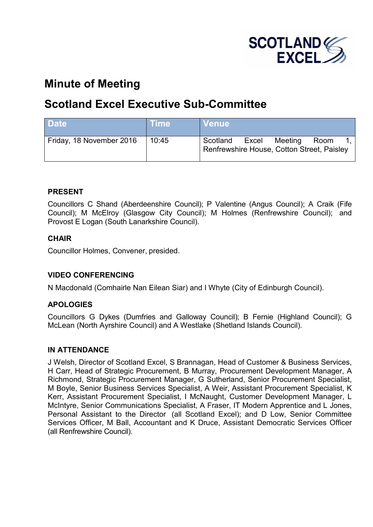

# **Minute of Meeting**

## **Scotland Excel Executive Sub-Committee**

| <b>Date</b>              | <b>Time</b> | <b>Venue</b>                                                                       |
|--------------------------|-------------|------------------------------------------------------------------------------------|
| Friday, 18 November 2016 | 10:45       | Scotland<br>Meeting<br>Excel<br>Room<br>Renfrewshire House, Cotton Street, Paisley |

## **PRESENT**

Councillors C Shand (Aberdeenshire Council); P Valentine (Angus Council); A Craik (Fife Council); M McElroy (Glasgow City Council); M Holmes (Renfrewshire Council); and Provost E Logan (South Lanarkshire Council).

## **CHAIR**

Councillor Holmes, Convener, presided.

## **VIDEO CONFERENCING**

N Macdonald (Comhairle Nan Eilean Siar) and I Whyte (City of Edinburgh Council).

## **APOLOGIES**

Councillors G Dykes (Dumfries and Galloway Council); B Fernie (Highland Council); G McLean (North Ayrshire Council) and A Westlake (Shetland Islands Council).

## **IN ATTENDANCE**

J Welsh, Director of Scotland Excel, S Brannagan, Head of Customer & Business Services, H Carr, Head of Strategic Procurement, B Murray, Procurement Development Manager, A Richmond, Strategic Procurement Manager, G Sutherland, Senior Procurement Specialist, M Boyle, Senior Business Services Specialist, A Weir, Assistant Procurement Specialist, K Kerr, Assistant Procurement Specialist, I McNaught, Customer Development Manager, L McIntyre, Senior Communications Specialist, A Fraser, IT Modern Apprentice and L Jones, Personal Assistant to the Director (all Scotland Excel); and D Low, Senior Committee Services Officer, M Ball, Accountant and K Druce, Assistant Democratic Services Officer (all Renfrewshire Council).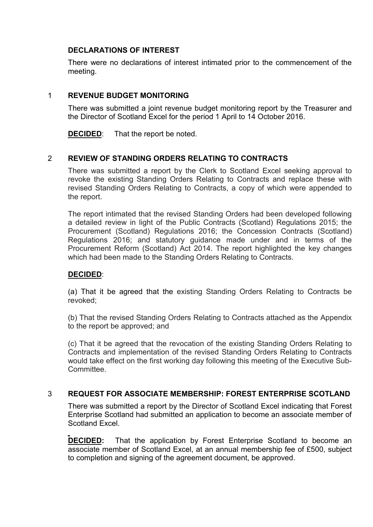## **DECLARATIONS OF INTEREST**

There were no declarations of interest intimated prior to the commencement of the meeting.

## 1 **REVENUE BUDGET MONITORING**

There was submitted a joint revenue budget monitoring report by the Treasurer and the Director of Scotland Excel for the period 1 April to 14 October 2016.

**DECIDED:** That the report be noted.

## 2 **REVIEW OF STANDING ORDERS RELATING TO CONTRACTS**

There was submitted a report by the Clerk to Scotland Excel seeking approval to revoke the existing Standing Orders Relating to Contracts and replace these with revised Standing Orders Relating to Contracts, a copy of which were appended to the report.

The report intimated that the revised Standing Orders had been developed following a detailed review in light of the Public Contracts (Scotland) Regulations 2015; the Procurement (Scotland) Regulations 2016; the Concession Contracts (Scotland) Regulations 2016; and statutory guidance made under and in terms of the Procurement Reform (Scotland) Act 2014. The report highlighted the key changes which had been made to the Standing Orders Relating to Contracts.

## **DECIDED**:

(a) That it be agreed that the existing Standing Orders Relating to Contracts be revoked;

(b) That the revised Standing Orders Relating to Contracts attached as the Appendix to the report be approved; and

(c) That it be agreed that the revocation of the existing Standing Orders Relating to Contracts and implementation of the revised Standing Orders Relating to Contracts would take effect on the first working day following this meeting of the Executive Sub-Committee.

## 3 **REQUEST FOR ASSOCIATE MEMBERSHIP: FOREST ENTERPRISE SCOTLAND**

There was submitted a report by the Director of Scotland Excel indicating that Forest Enterprise Scotland had submitted an application to become an associate member of Scotland Excel.

**DECIDED:** That the application by Forest Enterprise Scotland to become an associate member of Scotland Excel, at an annual membership fee of £500, subject to completion and signing of the agreement document, be approved.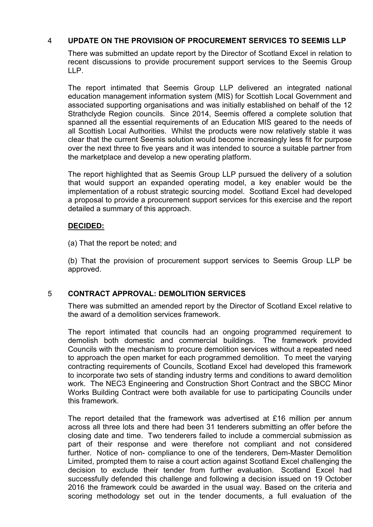## 4 **UPDATE ON THE PROVISION OF PROCUREMENT SERVICES TO SEEMIS LLP**

There was submitted an update report by the Director of Scotland Excel in relation to recent discussions to provide procurement support services to the Seemis Group LLP.

The report intimated that Seemis Group LLP delivered an integrated national education management information system (MIS) for Scottish Local Government and associated supporting organisations and was initially established on behalf of the 12 Strathclyde Region councils. Since 2014, Seemis offered a complete solution that spanned all the essential requirements of an Education MIS geared to the needs of all Scottish Local Authorities. Whilst the products were now relatively stable it was clear that the current Seemis solution would become increasingly less fit for purpose over the next three to five years and it was intended to source a suitable partner from the marketplace and develop a new operating platform.

The report highlighted that as Seemis Group LLP pursued the delivery of a solution that would support an expanded operating model, a key enabler would be the implementation of a robust strategic sourcing model. Scotland Excel had developed a proposal to provide a procurement support services for this exercise and the report detailed a summary of this approach.

## **DECIDED:**

(a) That the report be noted; and

(b) That the provision of procurement support services to Seemis Group LLP be approved.

## 5 **CONTRACT APPROVAL: DEMOLITION SERVICES**

There was submitted an amended report by the Director of Scotland Excel relative to the award of a demolition services framework.

The report intimated that councils had an ongoing programmed requirement to demolish both domestic and commercial buildings. The framework provided Councils with the mechanism to procure demolition services without a repeated need to approach the open market for each programmed demolition. To meet the varying contracting requirements of Councils, Scotland Excel had developed this framework to incorporate two sets of standing industry terms and conditions to award demolition work. The NEC3 Engineering and Construction Short Contract and the SBCC Minor Works Building Contract were both available for use to participating Councils under this framework.

The report detailed that the framework was advertised at £16 million per annum across all three lots and there had been 31 tenderers submitting an offer before the closing date and time. Two tenderers failed to include a commercial submission as part of their response and were therefore not compliant and not considered further. Notice of non- compliance to one of the tenderers, Dem-Master Demolition Limited, prompted them to raise a court action against Scotland Excel challenging the decision to exclude their tender from further evaluation. Scotland Excel had successfully defended this challenge and following a decision issued on 19 October 2016 the framework could be awarded in the usual way. Based on the criteria and scoring methodology set out in the tender documents, a full evaluation of the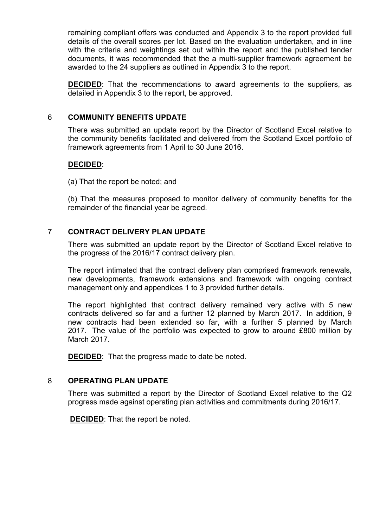remaining compliant offers was conducted and Appendix 3 to the report provided full details of the overall scores per lot. Based on the evaluation undertaken, and in line with the criteria and weightings set out within the report and the published tender documents, it was recommended that the a multi-supplier framework agreement be awarded to the 24 suppliers as outlined in Appendix 3 to the report.

**DECIDED**: That the recommendations to award agreements to the suppliers, as detailed in Appendix 3 to the report, be approved.

#### 6 **COMMUNITY BENEFITS UPDATE**

There was submitted an update report by the Director of Scotland Excel relative to the community benefits facilitated and delivered from the Scotland Excel portfolio of framework agreements from 1 April to 30 June 2016.

## **DECIDED**:

(a) That the report be noted; and

(b) That the measures proposed to monitor delivery of community benefits for the remainder of the financial year be agreed.

## 7 **CONTRACT DELIVERY PLAN UPDATE**

There was submitted an update report by the Director of Scotland Excel relative to the progress of the 2016/17 contract delivery plan.

The report intimated that the contract delivery plan comprised framework renewals, new developments, framework extensions and framework with ongoing contract management only and appendices 1 to 3 provided further details.

The report highlighted that contract delivery remained very active with 5 new contracts delivered so far and a further 12 planned by March 2017. In addition, 9 new contracts had been extended so far, with a further 5 planned by March 2017. The value of the portfolio was expected to grow to around £800 million by March 2017.

**DECIDED:** That the progress made to date be noted.

## 8 **OPERATING PLAN UPDATE**

There was submitted a report by the Director of Scotland Excel relative to the Q2 progress made against operating plan activities and commitments during 2016/17.

**DECIDED**: That the report be noted.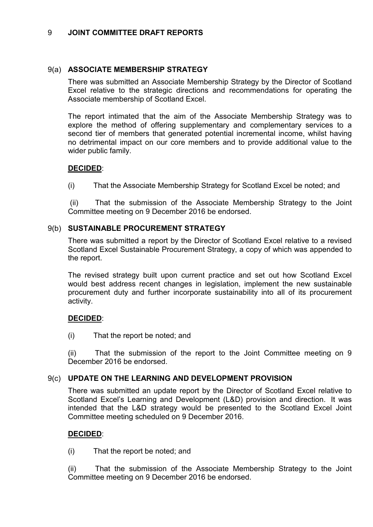## 9 **JOINT COMMITTEE DRAFT REPORTS**

## 9(a) **ASSOCIATE MEMBERSHIP STRATEGY**

There was submitted an Associate Membership Strategy by the Director of Scotland Excel relative to the strategic directions and recommendations for operating the Associate membership of Scotland Excel.

The report intimated that the aim of the Associate Membership Strategy was to explore the method of offering supplementary and complementary services to a second tier of members that generated potential incremental income, whilst having no detrimental impact on our core members and to provide additional value to the wider public family.

## **DECIDED**:

(i) That the Associate Membership Strategy for Scotland Excel be noted; and

 (ii) That the submission of the Associate Membership Strategy to the Joint Committee meeting on 9 December 2016 be endorsed.

## 9(b) **SUSTAINABLE PROCUREMENT STRATEGY**

There was submitted a report by the Director of Scotland Excel relative to a revised Scotland Excel Sustainable Procurement Strategy, a copy of which was appended to the report.

The revised strategy built upon current practice and set out how Scotland Excel would best address recent changes in legislation, implement the new sustainable procurement duty and further incorporate sustainability into all of its procurement activity.

## **DECIDED**:

(i) That the report be noted; and

(ii) That the submission of the report to the Joint Committee meeting on 9 December 2016 be endorsed.

## 9(c) **UPDATE ON THE LEARNING AND DEVELOPMENT PROVISION**

There was submitted an update report by the Director of Scotland Excel relative to Scotland Excel's Learning and Development (L&D) provision and direction. It was intended that the L&D strategy would be presented to the Scotland Excel Joint Committee meeting scheduled on 9 December 2016.

## **DECIDED**:

(i) That the report be noted; and

(ii) That the submission of the Associate Membership Strategy to the Joint Committee meeting on 9 December 2016 be endorsed.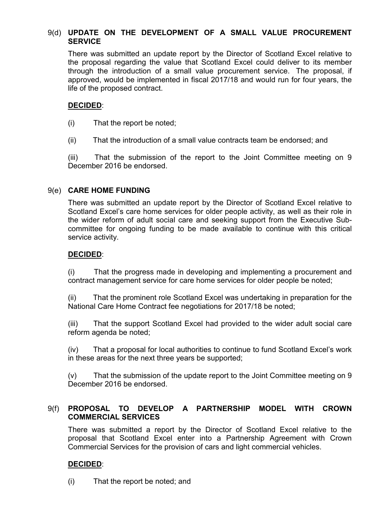## 9(d) **UPDATE ON THE DEVELOPMENT OF A SMALL VALUE PROCUREMENT SERVICE**

There was submitted an update report by the Director of Scotland Excel relative to the proposal regarding the value that Scotland Excel could deliver to its member through the introduction of a small value procurement service. The proposal, if approved, would be implemented in fiscal 2017/18 and would run for four years, the life of the proposed contract.

## **DECIDED**:

- (i) That the report be noted;
- (ii) That the introduction of a small value contracts team be endorsed; and

(iii) That the submission of the report to the Joint Committee meeting on 9 December 2016 be endorsed.

## 9(e) **CARE HOME FUNDING**

There was submitted an update report by the Director of Scotland Excel relative to Scotland Excel's care home services for older people activity, as well as their role in the wider reform of adult social care and seeking support from the Executive Subcommittee for ongoing funding to be made available to continue with this critical service activity.

## **DECIDED**:

(i) That the progress made in developing and implementing a procurement and contract management service for care home services for older people be noted;

(ii) That the prominent role Scotland Excel was undertaking in preparation for the National Care Home Contract fee negotiations for 2017/18 be noted;

(iii) That the support Scotland Excel had provided to the wider adult social care reform agenda be noted;

(iv) That a proposal for local authorities to continue to fund Scotland Excel's work in these areas for the next three years be supported;

(v) That the submission of the update report to the Joint Committee meeting on 9 December 2016 be endorsed.

## 9(f) **PROPOSAL TO DEVELOP A PARTNERSHIP MODEL WITH CROWN COMMERCIAL SERVICES**

There was submitted a report by the Director of Scotland Excel relative to the proposal that Scotland Excel enter into a Partnership Agreement with Crown Commercial Services for the provision of cars and light commercial vehicles.

## **DECIDED**:

(i) That the report be noted; and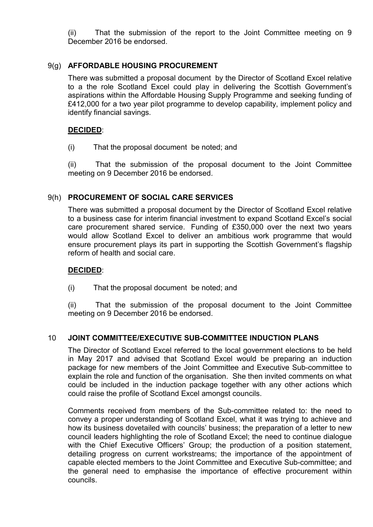(ii) That the submission of the report to the Joint Committee meeting on 9 December 2016 be endorsed.

## 9(g) **AFFORDABLE HOUSING PROCUREMENT**

There was submitted a proposal document by the Director of Scotland Excel relative to a the role Scotland Excel could play in delivering the Scottish Government's aspirations within the Affordable Housing Supply Programme and seeking funding of £412,000 for a two year pilot programme to develop capability, implement policy and identify financial savings.

## **DECIDED**:

(i) That the proposal document be noted; and

(ii) That the submission of the proposal document to the Joint Committee meeting on 9 December 2016 be endorsed.

## 9(h) **PROCUREMENT OF SOCIAL CARE SERVICES**

There was submitted a proposal document by the Director of Scotland Excel relative to a business case for interim financial investment to expand Scotland Excel's social care procurement shared service. Funding of £350,000 over the next two years would allow Scotland Excel to deliver an ambitious work programme that would ensure procurement plays its part in supporting the Scottish Government's flagship reform of health and social care.

## **DECIDED**:

(i) That the proposal document be noted; and

(ii) That the submission of the proposal document to the Joint Committee meeting on 9 December 2016 be endorsed.

## 10 **JOINT COMMITTEE/EXECUTIVE SUB-COMMITTEE INDUCTION PLANS**

The Director of Scotland Excel referred to the local government elections to be held in May 2017 and advised that Scotland Excel would be preparing an induction package for new members of the Joint Committee and Executive Sub-committee to explain the role and function of the organisation. She then invited comments on what could be included in the induction package together with any other actions which could raise the profile of Scotland Excel amongst councils.

Comments received from members of the Sub-committee related to: the need to convey a proper understanding of Scotland Excel, what it was trying to achieve and how its business dovetailed with councils' business; the preparation of a letter to new council leaders highlighting the role of Scotland Excel; the need to continue dialogue with the Chief Executive Officers' Group; the production of a position statement, detailing progress on current workstreams; the importance of the appointment of capable elected members to the Joint Committee and Executive Sub-committee; and the general need to emphasise the importance of effective procurement within councils.